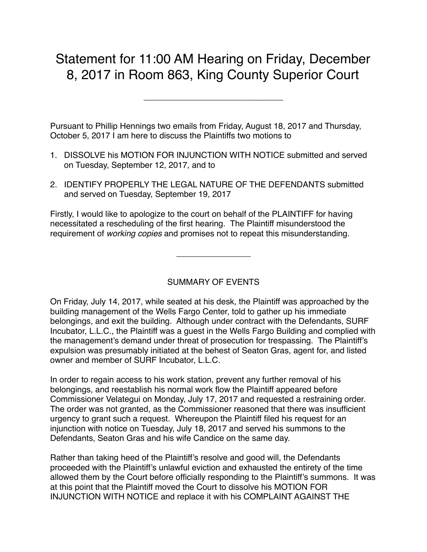## Statement for 11:00 AM Hearing on Friday, December 8, 2017 in Room 863, King County Superior Court

\_\_\_\_\_\_\_\_\_\_\_\_\_\_\_\_\_\_\_\_\_\_\_\_\_\_\_\_\_\_

Pursuant to Phillip Hennings two emails from Friday, August 18, 2017 and Thursday, October 5, 2017 I am here to discuss the Plaintiffs two motions to

- 1. DISSOLVE his MOTION FOR INJUNCTION WITH NOTICE submitted and served on Tuesday, September 12, 2017, and to
- 2. IDENTIFY PROPERLY THE LEGAL NATURE OF THE DEFENDANTS submitted and served on Tuesday, September 19, 2017

Firstly, I would like to apologize to the court on behalf of the PLAINTIFF for having necessitated a rescheduling of the first hearing. The Plaintiff misunderstood the requirement of *working copies* and promises not to repeat this misunderstanding.

\_\_\_\_\_\_\_\_\_\_\_\_\_\_\_\_

## SUMMARY OF EVENTS

On Friday, July 14, 2017, while seated at his desk, the Plaintiff was approached by the building management of the Wells Fargo Center, told to gather up his immediate belongings, and exit the building. Although under contract with the Defendants, SURF Incubator, L.L.C., the Plaintiff was a guest in the Wells Fargo Building and complied with the management's demand under threat of prosecution for trespassing. The Plaintiff's expulsion was presumably initiated at the behest of Seaton Gras, agent for, and listed owner and member of SURF Incubator, L.L.C.

In order to regain access to his work station, prevent any further removal of his belongings, and reestablish his normal work flow the Plaintiff appeared before Commissioner Velategui on Monday, July 17, 2017 and requested a restraining order. The order was not granted, as the Commissioner reasoned that there was insufficient urgency to grant such a request. Whereupon the Plaintiff filed his request for an injunction with notice on Tuesday, July 18, 2017 and served his summons to the Defendants, Seaton Gras and his wife Candice on the same day.

Rather than taking heed of the Plaintiff's resolve and good will, the Defendants proceeded with the Plaintiff's unlawful eviction and exhausted the entirety of the time allowed them by the Court before officially responding to the Plaintiff's summons. It was at this point that the Plaintiff moved the Court to dissolve his MOTION FOR INJUNCTION WITH NOTICE and replace it with his COMPLAINT AGAINST THE